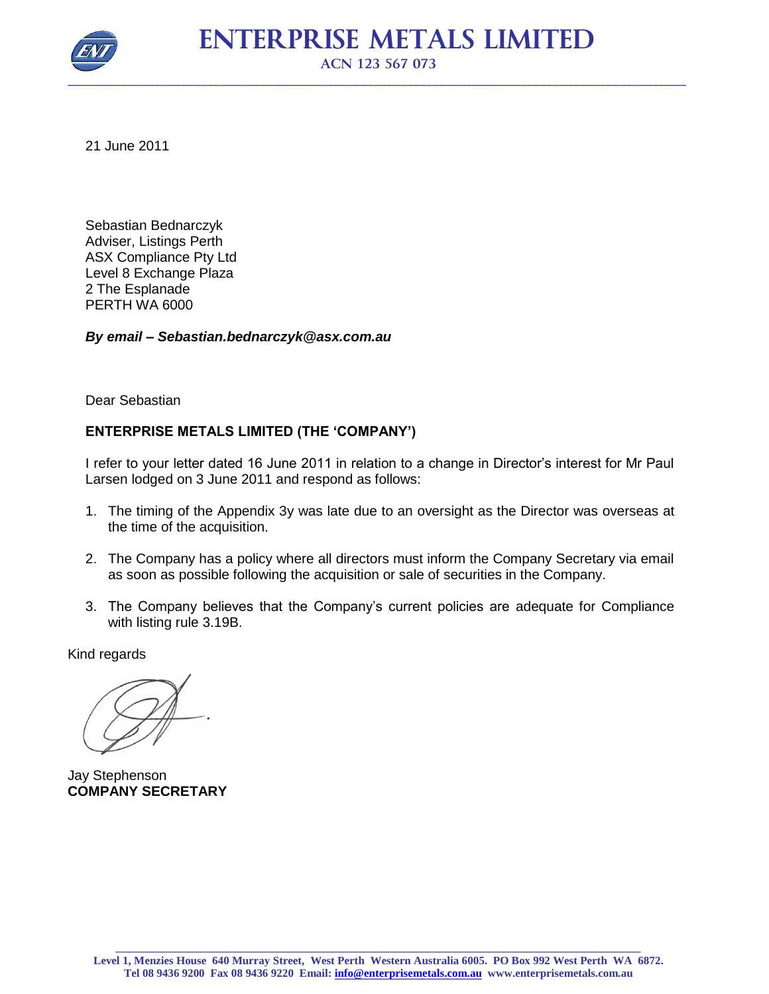

21 June 2011

Sebastian Bednarczyk Adviser, Listings Perth ASX Compliance Pty Ltd Level 8 Exchange Plaza 2 The Esplanade PERTH WA 6000

*By email – Sebastian.bednarczyk@asx.com.au*

Dear Sebastian

## **ENTERPRISE METALS LIMITED (THE 'COMPANY')**

I refer to your letter dated 16 June 2011 in relation to a change in Director's interest for Mr Paul Larsen lodged on 3 June 2011 and respond as follows:

- 1. The timing of the Appendix 3y was late due to an oversight as the Director was overseas at the time of the acquisition.
- 2. The Company has a policy where all directors must inform the Company Secretary via email as soon as possible following the acquisition or sale of securities in the Company.
- 3. The Company believes that the Company's current policies are adequate for Compliance with listing rule 3.19B.

Kind regards

Jay Stephenson **COMPANY SECRETARY**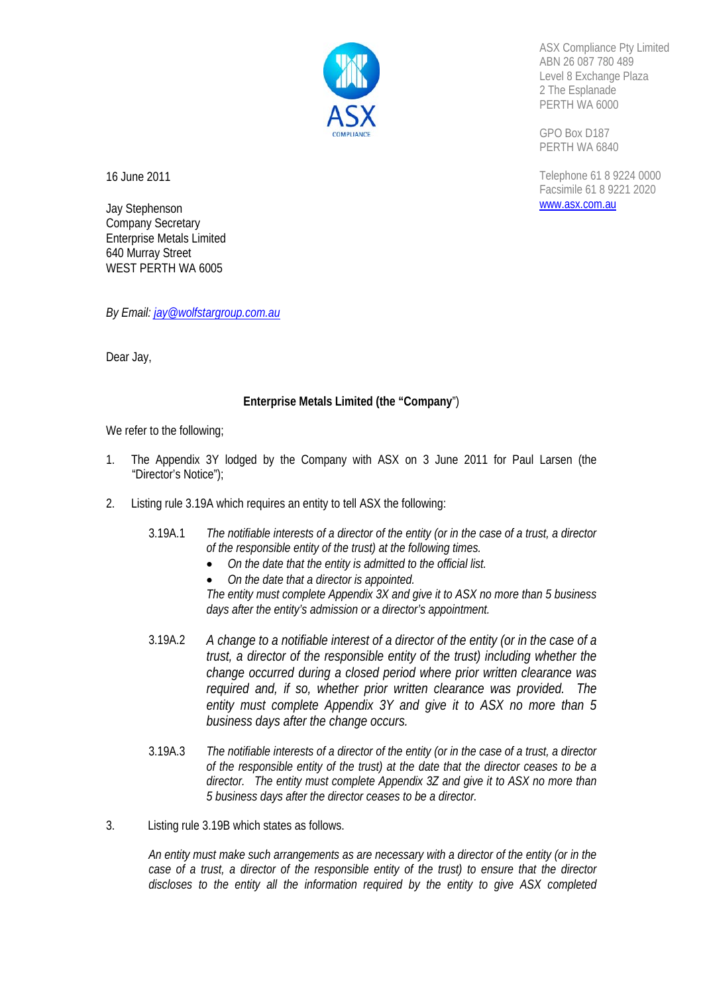

ASX Compliance Pty Limited ABN 26 087 780 489 Level 8 Exchange Plaza 2 The Esplanade PERTH WA 6000

GPO Box D187 PERTH WA 6840

Telephone 61 8 9224 0000 Facsimile 61 8 9221 2020 www.asx.com.au

16 June 2011

Jay Stephenson Company Secretary Enterprise Metals Limited 640 Murray Street WEST PERTH WA 6005

*By Email: jay@wolfstargroup.com.au*

Dear Jay,

## **Enterprise Metals Limited (the "Company**")

We refer to the following;

- 1. The Appendix 3Y lodged by the Company with ASX on 3 June 2011 for Paul Larsen (the "Director's Notice");
- 2. Listing rule 3.19A which requires an entity to tell ASX the following:
	- 3.19A.1 *The notifiable interests of a director of the entity (or in the case of a trust, a director of the responsible entity of the trust) at the following times.* 
		- *On the date that the entity is admitted to the official list.*
		- *On the date that a director is appointed.*

*The entity must complete Appendix 3X and give it to ASX no more than 5 business days after the entity's admission or a director's appointment.* 

- 3.19A.2 *A change to a notifiable interest of a director of the entity (or in the case of a trust, a director of the responsible entity of the trust) including whether the change occurred during a closed period where prior written clearance was required and, if so, whether prior written clearance was provided. The entity must complete Appendix 3Y and give it to ASX no more than 5 business days after the change occurs.*
- 3.19A.3 *The notifiable interests of a director of the entity (or in the case of a trust, a director of the responsible entity of the trust) at the date that the director ceases to be a director. The entity must complete Appendix 3Z and give it to ASX no more than 5 business days after the director ceases to be a director.*
- 3. Listing rule 3.19B which states as follows.

*An entity must make such arrangements as are necessary with a director of the entity (or in the case of a trust, a director of the responsible entity of the trust) to ensure that the director discloses to the entity all the information required by the entity to give ASX completed*